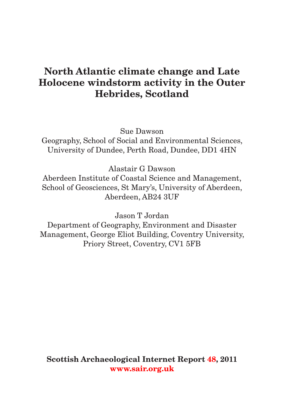# **North Atlantic climate change and Late Holocene windstorm activity in the Outer Hebrides, Scotland**

Sue Dawson

Geography, School of Social and Environmental Sciences, University of Dundee, Perth Road, Dundee, DD1 4HN

Alastair G Dawson

Aberdeen Institute of Coastal Science and Management, School of Geosciences, St Mary's, University of Aberdeen, Aberdeen, AB24 3UF

Jason T Jordan

Department of Geography, Environment and Disaster Management, George Eliot Building, Coventry University, Priory Street, Coventry, CV1 5FB

**Scottish Archaeological Internet Repor[t 48, 2](http://www.sair.org.uk/sair48/index.html)011 [www.sair.org.uk](http://www.sair.org.uk)**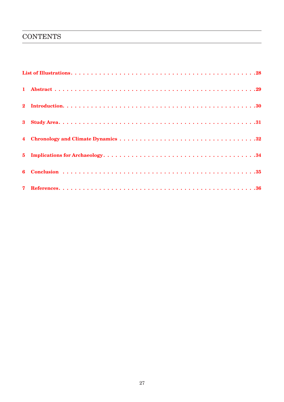#### **CONTENTS**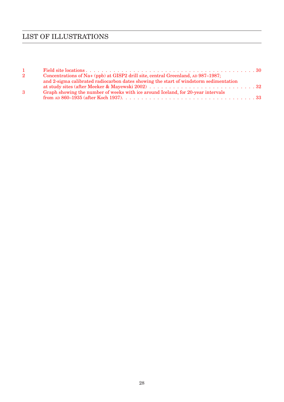## List of Illustrations

| $1 \quad$ |                                                                                       |  |
|-----------|---------------------------------------------------------------------------------------|--|
| $2^{-}$   | Concentrations of Na+ (ppb) at GISP2 drill site, central Greenland, AD 987-1987;      |  |
|           | and 2-sigma calibrated radiocarbon dates showing the start of windstorm sedimentation |  |
|           |                                                                                       |  |
| 3         | Graph showing the number of weeks with ice around Iceland, for 20-year intervals      |  |
|           |                                                                                       |  |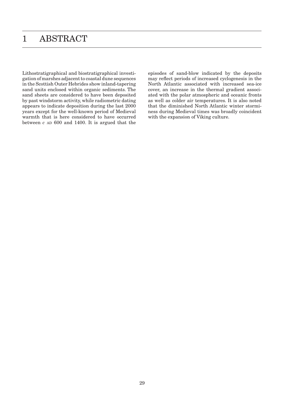## 1 ABSTRACT

Lithostratigraphical and biostratigraphical investigation of marshes adjacent to coastal dune sequences in the Scottish Outer Hebrides show inland-tapering sand units enclosed within organic sediments. The sand sheets are considered to have been deposited by past windstorm activity, while radiometric dating appears to indicate deposition during the last 2000 years except for the well-known period of Medieval warmth that is here considered to have occurred between  $c$  an  $600$  and  $1400$ . It is argued that the episodes of sand-blow indicated by the deposits may reflect periods of increased cyclogenesis in the North Atlantic associated with increased sea-ice cover, an increase in the thermal gradient associated with the polar atmospheric and oceanic fronts as well as colder air temperatures. It is also noted that the diminished North Atlantic winter storminess during Medieval times was broadly coincident with the expansion of Viking culture.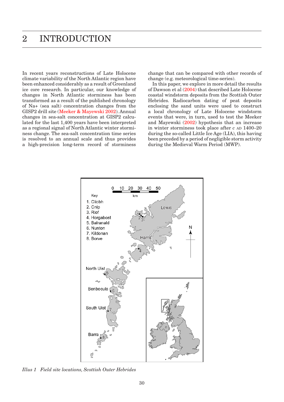In recent years reconstructions of Late Holocene climate variability of the North Atlantic region have been enhanced considerably as a result of Greenland ice core research. In particular, our knowledge of changes in North Atlantic storminess has been transformed as a result of the published chronology of Na+ (sea salt) concentration changes from the GISP2 drill site (Meeker & Mayewski 2002). Annual changes in sea-salt concentration at GISP2 calculated for the last 1,400 years have been interpreted as a regional signal of North Atlantic winter storminess change. The sea-salt concentration time series is resolved to an annual scale and thus provides a high-precision long-term record of storminess change that can be compared with other records of change (e.g. meteorological time-series).

In this paper, we explore in more detail the results of Dawson et al (2004) that described Late Holocene coastal windstorm deposits from the Scottish Outer Hebrides. Radiocarbon dating of peat deposits enclosing the sand units were used to construct a local chronology of Late Holocene windstorm events that were, in turn, used to test the Meeker and Mayewski (2002) hypothesis that an increase in winter storminess took place after  $c$  and  $1400-20$ during the so-called Little Ice Age (LIA), this having been preceded by a period of negligible storm activity during the Medieval Warm Period (MWP).



*Illus 1 Field site locations, Scottish Outer Hebrides*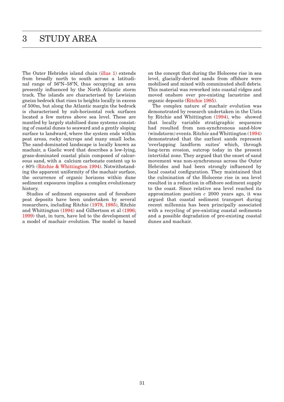The Outer Hebrides island chain (illus 1) extends from broadly north to south across a latitudinal range of 56ºN–58ºN, thus occupying an area presently influenced by the North Atlantic storm track. The islands are characterised by Lewisian gneiss bedrock that rises to heights locally in excess of 500m, but along the Atlantic margin the bedrock is characterised by sub-horizontal rock surfaces located a few metres above sea level. These are mantled by largely stabilised dune systems consisting of coastal dunes to seaward and a gently sloping surface to landward, where the system ends within peat areas, rocky outcrops and many small lochs. The sand-dominated landscape is locally known as machair, a Gaelic word that describes a low-lying, grass-dominated coastal plain composed of calcareous sand, with a calcium carbonate content up to *c* 80% (Ritchie & Whittington 1994). Notwithstanding the apparent uniformity of the machair surface, the occurrence of organic horizons within dune sediment exposures implies a complex evolutionary history.

Studies of sediment exposures and of foreshore peat deposits have been undertaken by several researchers, including Ritchie (1979, 1985), Ritchie and Whittington (1994) and Gilbertson et al (1996; 1999) that, in turn, have led to the development of a model of machair evolution. The model is based

on the concept that during the Holocene rise in sea level, glacially-derived sands from offshore were mobilised and mixed with comminuted shell debris. This material was reworked into coastal ridges and moved onshore over pre-existing lacustrine and organic deposits (Ritchie 1985).

The complex nature of machair evolution was demonstrated by research undertaken in the Uists by Ritchie and Whittington (1994), who showed that locally variable stratigraphic sequences had resulted from non-synchronous sand-blow (windstorm) events. Ritchie and Whittington (1994) demonstrated that the earliest sands represent 'overlapping landform suites' which, through long-term erosion, outcrop today in the present intertidal zone. They argued that the onset of sand movement was non-synchronous across the Outer Hebrides and had been strongly influenced by local coastal configuration. They maintained that the culmination of the Holocene rise in sea level resulted in a reduction in offshore sediment supply to the coast. Since relative sea level reached its approximation position *c* 2000 years ago, it was argued that coastal sediment transport during recent millennia has been principally associated with a recycling of pre-existing coastal sediments and a possible degradation of pre-existing coastal dunes and machair.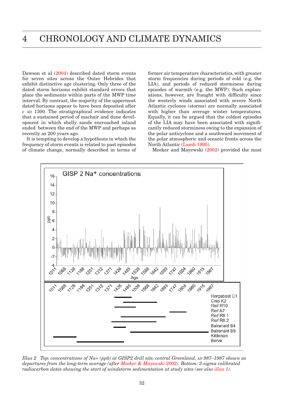Dawson et al  $(2004)$  described dated storm events for seven sites across the Outer Hebrides that exhibit distinctive age clustering. Only three of the dated storm horizons exhibit standard errors that place the sediments within parts of the MWP time interval. By contrast, the majority of the uppermost dated horizons appear to have been deposited after *c* ad 1300. The stratigraphical evidence indicates that a sustained period of machair and dune development in which shelly sands encroached inland ended between the end of the MWP and perhaps as recently as 200 years ago.

It is tempting to develop a hypothesis in which the frequency of storm events is related to past episodes of climate change, normally described in terms of former air temperature characteristics, with greater storm frequencies during periods of cold (e.g. the LIA), and periods of reduced storminess during episodes of warmth (e.g. the MWP). Such explanations, however, are fraught with difficulty since the westerly winds associated with severe North Atlantic cyclones (storms) are normally associated with higher than average winter temperatures. Equally, it can be argued that the coldest episodes of the LIA may have been associated with significantly reduced storminess owing to the expansion of the polar anticyclone and a southward movement of the polar atmospheric and oceanic fronts across the North Atlantic (Lamb 1995).

Meeker and Mayewski (2002) provided the most



*Illus 2 Top: concentrations of Na+ (ppb) at GISP2 drill site, central Greenland, ad 987–1987 shown as departures from the long-term average (after Meeker & Mayewski 2002). Bottom: 2-sigma calibrated radiocarbon dates showing the start of windstorm sedimentation at study sites (see also illus 1).*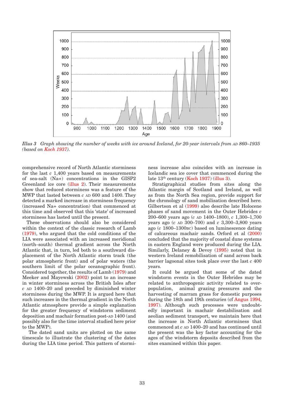

*Illus 3* Graph showing the number of weeks with ice around Iceland, for 20-year intervals from AD 860–1935 *(based on Koch 1937).*

comprehensive record of North Atlantic storminess for the last *c* 1,400 years based on measurements of sea-salt (Na+) concentrations in the GISP2 Greenland ice core (illus 2). Their measurements show that reduced storminess was a feature of the MWP that lasted between *c* AD 600 and 1400. They detected a marked increase in storminess frequency (increased Na+ concentration) that commenced at this time and observed that this 'state' of increased storminess has lasted until the present.

These observations should also be considered within the context of the classic research of Lamb (1979), who argued that the cold conditions of the LIA were associated with an increased meridional (north–south) thermal gradient across the North Atlantic that, in turn, led both to a southward displacement of the North Atlantic storm track (the polar atmospheric front) and of polar waters (the southern limit of the polar oceanographic front). Considered together, the results of Lamb (1979) and Meeker and Mayewski (2002) point to an increase in winter storminess across the British Isles after  $c$  and  $1400-20$  and preceded by diminished winter storminess during the MWP. It is argued here that such increases in the thermal gradient in the North Atlantic atmosphere provide a simple explanation for the greater frequency of windstorm sediment deposition and machair formation post- $AD$  1400 (and possibly also for the time interval studied here prior to the MWP).

 The dated sand units are plotted on the same timescale to illustrate the clustering of the dates during the LIA time period. This pattern of storminess increase also coincides with an increase in Icelandic sea ice cover that commenced during the late 13th century (Koch 1937) (illus 3).

Stratigraphical studies from sites along the Atlantic margin of Scotland and Ireland, as well as from the North Sea region, provide support for the chronology of sand mobilisation described here. Gilbertson et al (1999) also describe late Holocene phases of sand movement in the Outer Hebrides *c* 200–600 years ago (*c* ad 1400–1800), *c* 1,300–1,700 years ago  $(c \text{ AD } 300-700)$  and  $c \text{ 3,300-3,800}$  years ago (*c* 1800–1300bc) based on luminescence dating of calcareous machair sands. Orford et al (2000) concluded that the majority of coastal dune systems in eastern England were produced during the LIA. Similarly, Delaney & Devoy (1995) noted that in western Ireland remobilisation of sand across back barrier lagoonal sites took place over the last *c* 400 years.

It could be argued that some of the dated windstorm events in the Outer Hebrides may be related to anthropogenic activity related to overpopulation, animal grazing pressures and the harvesting of marram grass for domestic purposes during the 18th and 19th centuries (cf Angus 1994, 1997). Although such processes were undoubtedly important in machair destabilisation and aeolian sediment transport, we maintain here that the increase in North Atlantic storminess that commenced at  $c$  an  $1400-20$  and has continued until the present was the key factor accounting for the ages of the windstorm deposits described from the sites examined within this paper.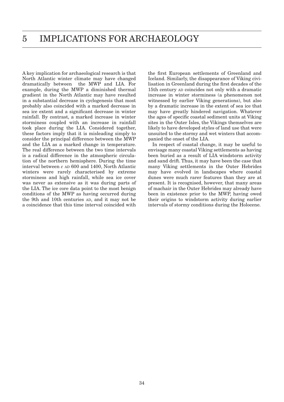A key implication for archaeological research is that North Atlantic winter climate may have changed dramatically between the MWP and LIA. For example, during the MWP a diminished thermal gradient in the North Atlantic may have resulted in a substantial decrease in cyclogenesis that most probably also coincided with a marked decrease in sea ice extent and a significant decrease in winter rainfall. By contrast, a marked increase in winter storminess coupled with an increase in rainfall took place during the LIA. Considered together, these factors imply that it is misleading simply to consider the principal difference between the MWP and the LIA as a marked change in temperature. The real difference between the two time intervals is a radical difference in the atmospheric circulation of the northern hemisphere. During the time interval between  $c$  an  $600$  and  $1400$ , North Atlantic winters were rarely characterised by extreme storminess and high rainfall, while sea ice cover was never as extensive as it was during parts of the LIA. The ice core data point to the most benign conditions of the MWP as having occurred during the 9th and 10th centuries AD, and it may not be a coincidence that this time interval coincided with

the first European settlements of Greenland and Iceland. Similarly, the disappearance of Viking civilisation in Greenland during the first decades of the 15th century ap coincides not only with a dramatic increase in winter storminess (a phenomenon not witnessed by earlier Viking generations), but also by a dramatic increase in the extent of sea ice that may have greatly hindered navigation. Whatever the ages of specific coastal sediment units at Viking sites in the Outer Isles, the Vikings themselves are likely to have developed styles of land use that were unsuited to the stormy and wet winters that accompanied the onset of the LIA.

In respect of coastal change, it may be useful to envisage many coastal Viking settlements as having been buried as a result of LIA windstorm activity and sand drift. Thus, it may have been the case that many Viking settlements in the Outer Hebrides may have evolved in landscapes where coastal dunes were much rarer features than they are at present. It is recognised, however, that many areas of machair in the Outer Hebrides may already have been in existence prior to the MWP, having owed their origins to windstorm activity during earlier intervals of stormy conditions during the Holocene.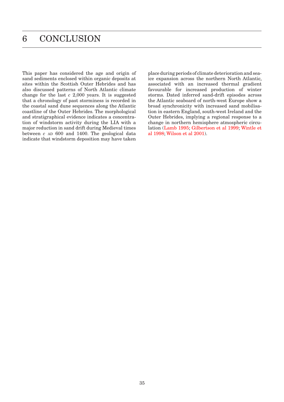This paper has considered the age and origin of sand sediments enclosed within organic deposits at sites within the Scottish Outer Hebrides and has also discussed patterns of North Atlantic climate change for the last *c* 2,000 years. It is suggested that a chronology of past storminess is recorded in the coastal sand dune sequences along the Atlantic coastline of the Outer Hebrides. The morphological and stratigraphical evidence indicates a concentration of windstorm activity during the LIA with a major reduction in sand drift during Medieval times between  $c$   $AD$   $600$  and  $1400$ . The geological data indicate that windstorm deposition may have taken

place during periods of climate deterioration and seaice expansion across the northern North Atlantic, associated with an increased thermal gradient favourable for increased production of winter storms. Dated inferred sand-drift episodes across the Atlantic seaboard of north-west Europe show a broad synchronicity with increased sand mobilisation in eastern England, south-west Ireland and the Outer Hebrides, implying a regional response to a change in northern hemisphere atmospheric circulation (Lamb 1995; Gilbertson et al 1999; Wintle et al 1998; Wilson et al 2001).